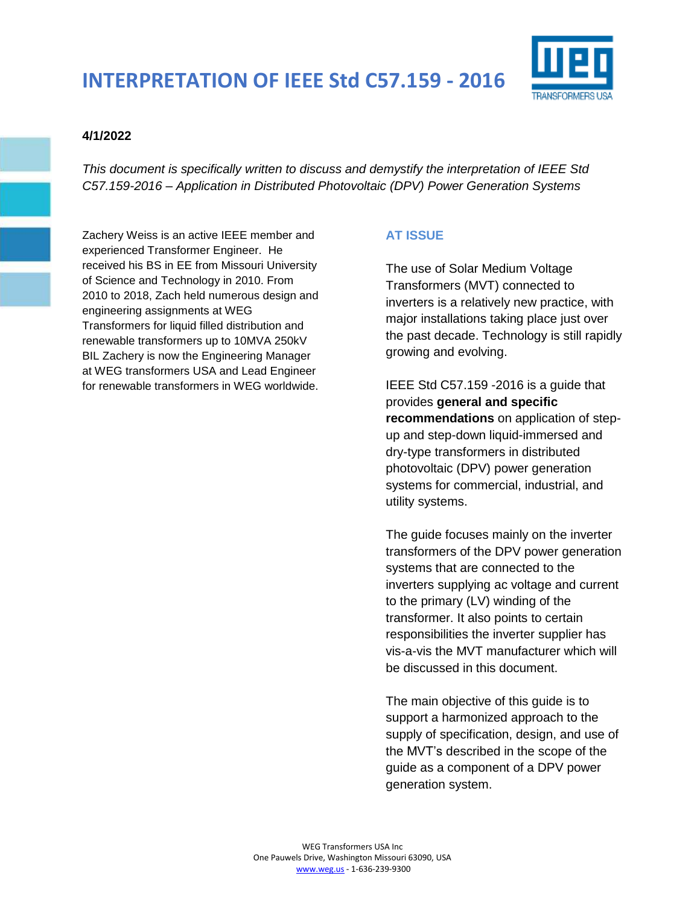

#### **4/1/2022**

*This document is specifically written to discuss and demystify the interpretation of IEEE Std C57.159-2016 – Application in Distributed Photovoltaic (DPV) Power Generation Systems* 

Zachery Weiss is an active IEEE member and experienced Transformer Engineer. He received his BS in EE from Missouri University of Science and Technology in 2010. From 2010 to 2018, Zach held numerous design and engineering assignments at WEG Transformers for liquid filled distribution and renewable transformers up to 10MVA 250kV BIL Zachery is now the Engineering Manager at WEG transformers USA and Lead Engineer for renewable transformers in WEG worldwide.

## **AT ISSUE**

The use of Solar Medium Voltage Transformers (MVT) connected to inverters is a relatively new practice, with major installations taking place just over the past decade. Technology is still rapidly growing and evolving.

IEEE Std C57.159 -2016 is a guide that provides **general and specific recommendations** on application of stepup and step-down liquid-immersed and dry-type transformers in distributed photovoltaic (DPV) power generation systems for commercial, industrial, and utility systems.

The guide focuses mainly on the inverter transformers of the DPV power generation systems that are connected to the inverters supplying ac voltage and current to the primary (LV) winding of the transformer. It also points to certain responsibilities the inverter supplier has vis-a-vis the MVT manufacturer which will be discussed in this document.

The main objective of this guide is to support a harmonized approach to the supply of specification, design, and use of the MVT's described in the scope of the guide as a component of a DPV power generation system.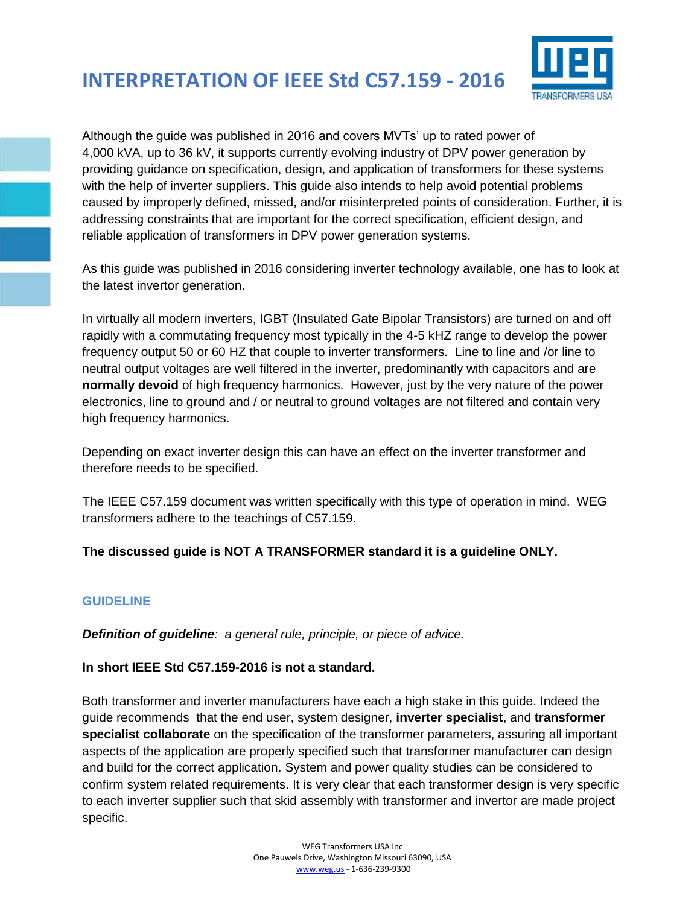

Although the guide was published in 2016 and covers MVTs' up to rated power of 4,000 kVA, up to 36 kV, it supports currently evolving industry of DPV power generation by providing guidance on specification, design, and application of transformers for these systems with the help of inverter suppliers. This guide also intends to help avoid potential problems caused by improperly defined, missed, and/or misinterpreted points of consideration. Further, it is addressing constraints that are important for the correct specification, efficient design, and reliable application of transformers in DPV power generation systems.

As this guide was published in 2016 considering inverter technology available, one has to look at the latest invertor generation.

In virtually all modern inverters, IGBT (Insulated Gate Bipolar Transistors) are turned on and off rapidly with a commutating frequency most typically in the 4-5 kHZ range to develop the power frequency output 50 or 60 HZ that couple to inverter transformers. Line to line and /or line to neutral output voltages are well filtered in the inverter, predominantly with capacitors and are **normally devoid** of high frequency harmonics. However, just by the very nature of the power electronics, line to ground and / or neutral to ground voltages are not filtered and contain very high frequency harmonics.

Depending on exact inverter design this can have an effect on the inverter transformer and therefore needs to be specified.

The IEEE C57.159 document was written specifically with this type of operation in mind. WEG transformers adhere to the teachings of C57.159.

## **The discussed guide is NOT A TRANSFORMER standard it is a guideline ONLY.**

## **GUIDELINE**

*Definition of guideline: a general rule, principle, or piece of advice.*

#### **In short IEEE Std C57.159-2016 is not a standard.**

Both transformer and inverter manufacturers have each a high stake in this guide. Indeed the guide recommends that the end user, system designer, **inverter specialist**, and **transformer specialist collaborate** on the specification of the transformer parameters, assuring all important aspects of the application are properly specified such that transformer manufacturer can design and build for the correct application. System and power quality studies can be considered to confirm system related requirements. It is very clear that each transformer design is very specific to each inverter supplier such that skid assembly with transformer and invertor are made project specific.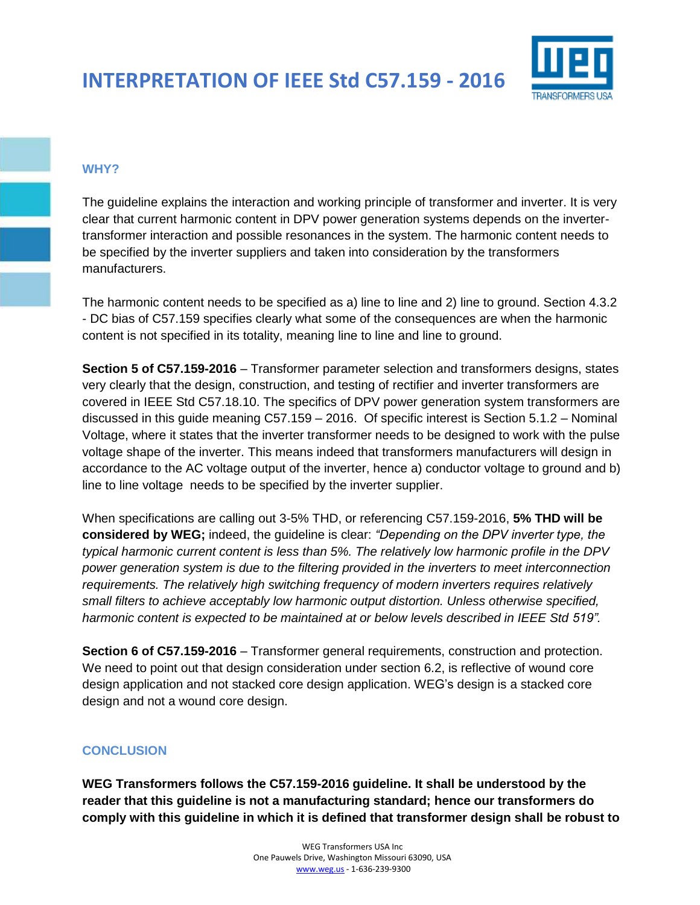

#### **WHY?**

The guideline explains the interaction and working principle of transformer and inverter. It is very clear that current harmonic content in DPV power generation systems depends on the invertertransformer interaction and possible resonances in the system. The harmonic content needs to be specified by the inverter suppliers and taken into consideration by the transformers manufacturers.

The harmonic content needs to be specified as a) line to line and 2) line to ground. Section 4.3.2 - DC bias of C57.159 specifies clearly what some of the consequences are when the harmonic content is not specified in its totality, meaning line to line and line to ground.

**Section 5 of C57.159-2016** – Transformer parameter selection and transformers designs, states very clearly that the design, construction, and testing of rectifier and inverter transformers are covered in IEEE Std C57.18.10. The specifics of DPV power generation system transformers are discussed in this guide meaning C57.159 – 2016. Of specific interest is Section 5.1.2 – Nominal Voltage, where it states that the inverter transformer needs to be designed to work with the pulse voltage shape of the inverter. This means indeed that transformers manufacturers will design in accordance to the AC voltage output of the inverter, hence a) conductor voltage to ground and b) line to line voltage needs to be specified by the inverter supplier.

When specifications are calling out 3-5% THD, or referencing C57.159-2016, **5% THD will be considered by WEG;** indeed, the guideline is clear: *"Depending on the DPV inverter type, the typical harmonic current content is less than 5%. The relatively low harmonic profile in the DPV power generation system is due to the filtering provided in the inverters to meet interconnection requirements. The relatively high switching frequency of modern inverters requires relatively small filters to achieve acceptably low harmonic output distortion. Unless otherwise specified, harmonic content is expected to be maintained at or below levels described in IEEE Std 519".*

**Section 6 of C57.159-2016** – Transformer general requirements, construction and protection. We need to point out that design consideration under section 6.2, is reflective of wound core design application and not stacked core design application. WEG's design is a stacked core design and not a wound core design.

## **CONCLUSION**

**WEG Transformers follows the C57.159-2016 guideline. It shall be understood by the reader that this guideline is not a manufacturing standard; hence our transformers do comply with this guideline in which it is defined that transformer design shall be robust to**